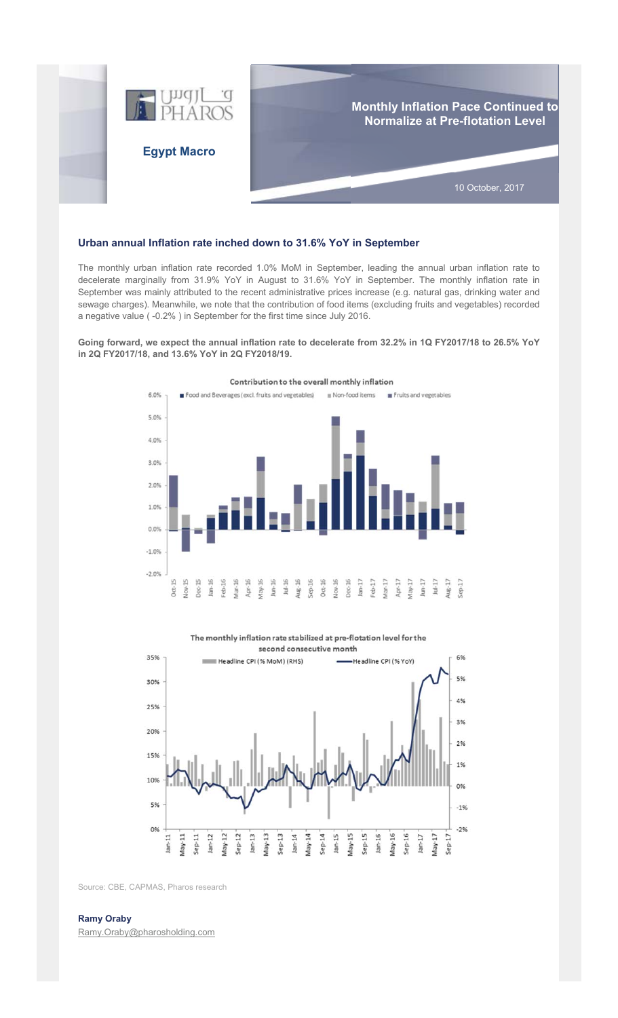

## **Urban annual Inflation rate inched down to 31.6% YoY in September**

The monthly urban inflation rate recorded 1.0% MoM in September, leading the annual urban inflation rate to decelerate marginally from 31.9% YoY in August to 31.6% YoY in September. The monthly inflation rate in September was mainly attributed to the recent administrative prices increase (e.g. natural gas, drinking water and sewage charges). Meanwhile, we note that the contribution of food items (excluding fruits and vegetables) recorded a negative value ( -0.2% ) in September for the first time since July 2016.

## **Going forward, we expect the annual inflation rate to decelerate from 32.2% in 1Q FY2017/18 to 26.5% YoY in 2Q FY2017/18, and 13.6% YoY in 2Q FY2018/19.**



Contribution to the overall monthly inflation

The monthly inflation rate stabilized at pre-flotation level for the



Source: CBE, CAPMAS, Pharos research

## **Ramy Oraby**

Ramy.Oraby@pharosholding.com